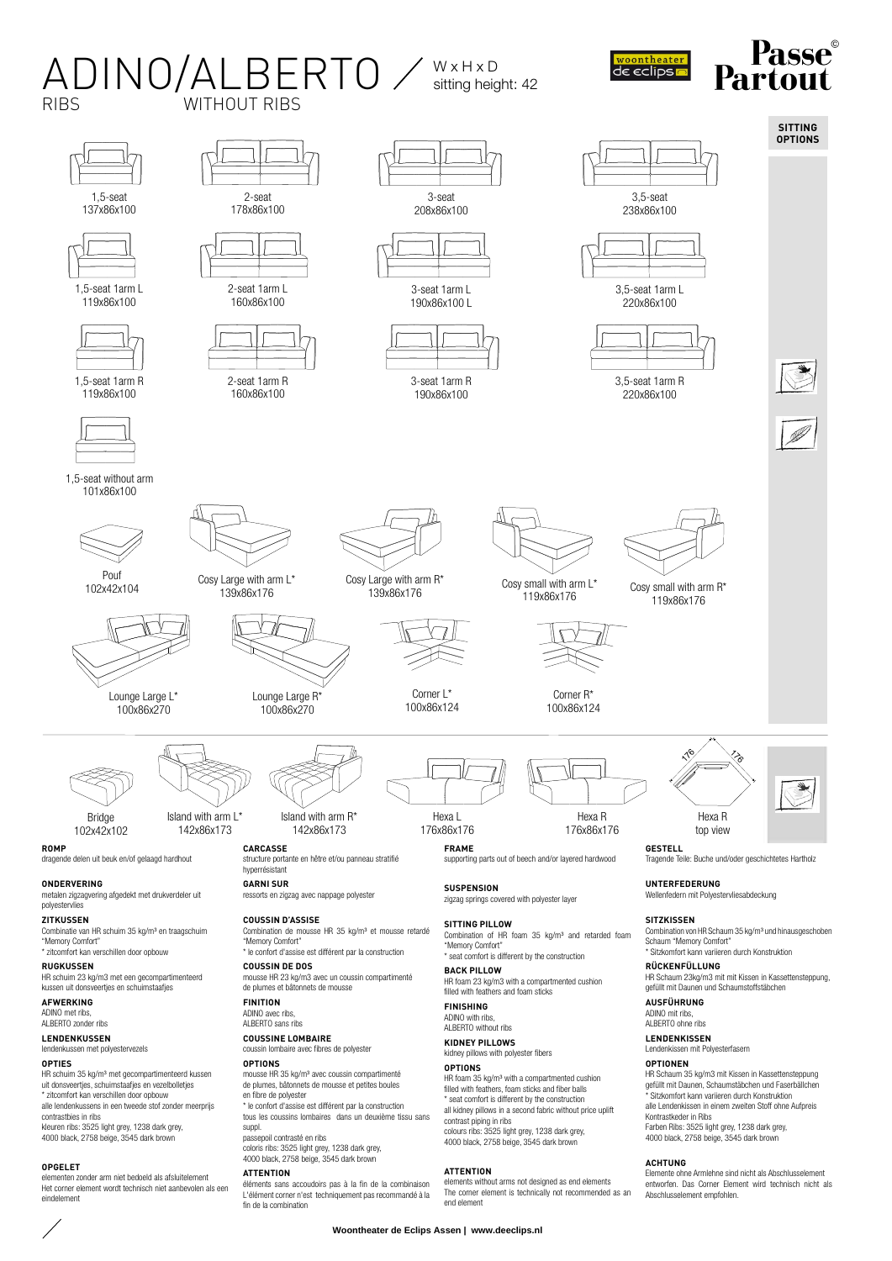#### $ADINO/ALBERTO \times_{\text{sitting height}}$ woontheater<br>de eclips sitting height: 42 WITHOUT RIBS 2-seat 3-seat 3,5-seat 1,5-seat 137x86x100 178x86x100 208x86x100 238x86x100



HR schuim 35 kg/m<sup>3</sup> met gecompartimenteerd kussen<br>uit donsveertjes, schuimstaafjes en vezelbolletjes \* zitcomfort kan verschillen door opbouw alle lendenkussens in een tweede stof zonder meerprijs

contrastbies in ribs kleuren ribs: 3525 light grey, 1238 dark grey, 4000 black, 2758 beige, 3545 dark brown

#### **OPGELET**

elementen zonder arm niet bedoeld als afsluitelement Het corner element wordt technisch niet aanbevolen als een eindelement

## **OPTIONS**

mousse HR 35 kg/m³ avec coussin compartimenté de plumes, bâtonnets de mousse et petites boules en fibre de polyester \* le confort d'assise est différent par la construction tous les coussins lombaires dans un deuxième tissu sans

suppl. passepoil contrasté en ribs coloris ribs: 3525 light grey, 1238 dark grey, 4000 black, 2758 beige, 3545 dark bro

## **ATTENTION**

éléments sans accoudoirs pas à la fin de la combinaison L'élément corner n'est techniquement pas recommandé à la fin de la combination

HR foam 35 kg/m³ with a compartmented cushion filled with feathers, foam sticks and fiber balls \* seat comfort is different by the construction all kidney pillows in a second fabric without price uplift contrast piping in ribs colours ribs: 3525 light grey, 1238 dark grey,

#### **ATTENTION**

elements without arms not designed as end elements The corner element is technically not recommended as an end elemen

#### **OPTIONEN**

HR Schaum 35 kg/m3 mit Kissen in Kassettensteppung gefüllt mit Daunen, Schaumstäbchen und Faserbällchen \* Sitzkomfort kann variieren durch Konstruktion alle Lendenkissen in einem zweiten Stoff ohne Aufpreis Kontrastkeder in Ribs Farben Ribs: 3525 light grey, 1238 dark grey, 4000 black, 2758 beige, 3545 dark brown

**SITTING OPTIONS**

 $\textbf{Passe}^\text{\tiny\textregistered}$ 

#### **ACHTUNG**

Elemente ohne Armlehne sind nicht als Abschlusselement entworfen. Das Corner Element wird technisch nicht als Abschlusselement empfohlen.

#### **Woontheater de Eclips Assen | www.deeclips.nl**

4000 black, 2758 beige, 3545 dark brown

# **OPTIONS**